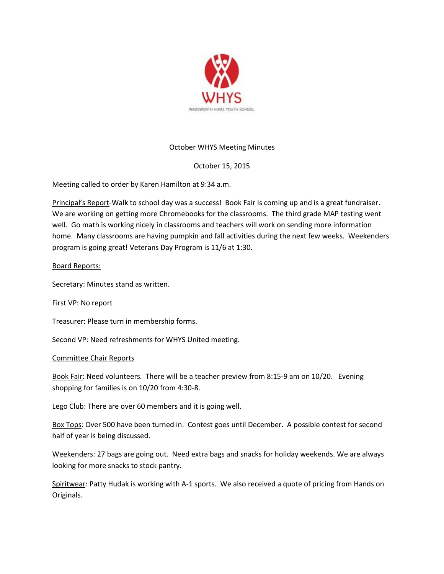

# October WHYS Meeting Minutes

## October 15, 2015

Meeting called to order by Karen Hamilton at 9:34 a.m.

Principal's Report-Walk to school day was a success! Book Fair is coming up and is a great fundraiser. We are working on getting more Chromebooks for the classrooms. The third grade MAP testing went well. Go math is working nicely in classrooms and teachers will work on sending more information home. Many classrooms are having pumpkin and fall activities during the next few weeks. Weekenders program is going great! Veterans Day Program is 11/6 at 1:30.

### Board Reports:

Secretary: Minutes stand as written.

First VP: No report

Treasurer: Please turn in membership forms.

Second VP: Need refreshments for WHYS United meeting.

#### Committee Chair Reports

Book Fair: Need volunteers. There will be a teacher preview from 8:15-9 am on 10/20. Evening shopping for families is on 10/20 from 4:30-8.

Lego Club: There are over 60 members and it is going well.

Box Tops: Over 500 have been turned in. Contest goes until December. A possible contest for second half of year is being discussed.

Weekenders: 27 bags are going out. Need extra bags and snacks for holiday weekends. We are always looking for more snacks to stock pantry.

Spiritwear: Patty Hudak is working with A-1 sports. We also received a quote of pricing from Hands on Originals.